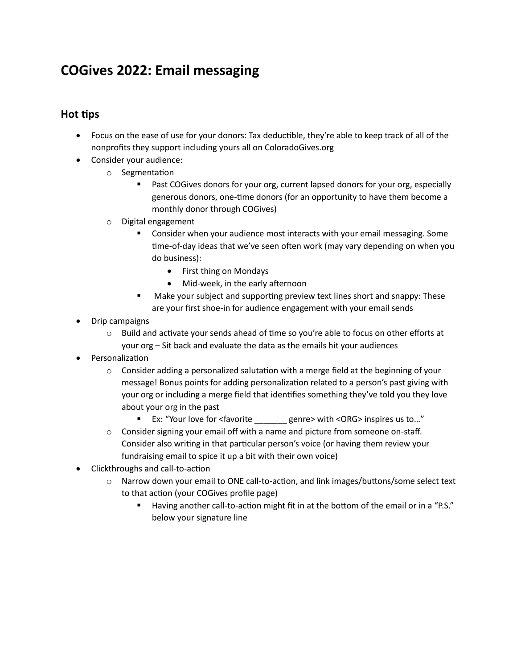# **COGives 2022: Email messaging**

## **Hot tips**

- Focus on the ease of use for your donors: Tax deductible, they're able to keep track of all of the nonprofits they support including yours all on ColoradoGives.org
- Consider your audience:
	- o Segmentation
		- Past COGives donors for your org, current lapsed donors for your org, especially generous donors, one-time donors (for an opportunity to have them become a monthly donor through COGives)
	- o Digital engagement
		- Consider when your audience most interacts with your email messaging. Some time-of-day ideas that we've seen often work (may vary depending on when you do business):
			- First thing on Mondays
			- Mid-week, in the early afternoon
		- Make your subject and supporting preview text lines short and snappy: These are your first shoe-in for audience engagement with your email sends
- Drip campaigns
	- $\circ$  Build and activate your sends ahead of time so you're able to focus on other efforts at your org – Sit back and evaluate the data as the emails hit your audiences
- **Personalization** 
	- $\circ$  Consider adding a personalized salutation with a merge field at the beginning of your message! Bonus points for adding personalization related to a person's past giving with your org or including a merge field that identifies something they've told you they love about your org in the past
		- Ex: "Your love for <favorite \_\_\_\_\_\_\_ genre> with <ORG> inspires us to..."
	- o Consider signing your email off with a name and picture from someone on-staff. Consider also writing in that particular person's voice (or having them review your fundraising email to spice it up a bit with their own voice)
- Clickthroughs and call-to-action
	- o Narrow down your email to ONE call-to-action, and link images/buttons/some select text to that action (your COGives profile page)
		- Having another call-to-action might fit in at the bottom of the email or in a "P.S." below your signature line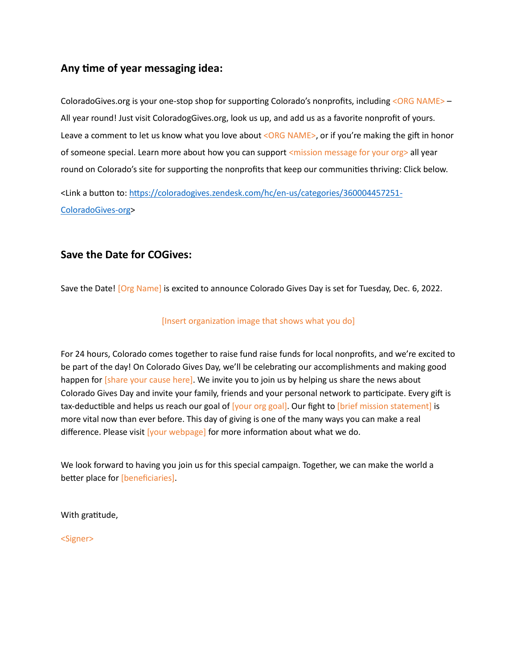# **Any time of year messaging idea:**

ColoradoGives.org is your one-stop shop for supporting Colorado's nonprofits, including <ORG NAME> – All year round! Just visit ColoradogGives.org, look us up, and add us as a favorite nonprofit of yours. Leave a comment to let us know what you love about <ORG NAME>, or if you're making the gift in honor of someone special. Learn more about how you can support <mission message for your org> all year round on Colorado's site for supporting the nonprofits that keep our communities thriving: Click below.

<Link a button to: [https://coloradogives.zendesk.com/hc/en-us/categories/360004457251-](https://coloradogives.zendesk.com/hc/en-us/categories/360004457251-ColoradoGives-org) [ColoradoGives-org>](https://coloradogives.zendesk.com/hc/en-us/categories/360004457251-ColoradoGives-org)

# **Save the Date for COGives:**

Save the Date! [Org Name] is excited to announce Colorado Gives Day is set for Tuesday, Dec. 6, 2022.

#### [Insert organization image that shows what you do]

For 24 hours, Colorado comes together to raise fund raise funds for local nonprofits, and we're excited to be part of the day! On Colorado Gives Day, we'll be celebrating our accomplishments and making good happen for [share your cause here]. We invite you to join us by helping us share the news about Colorado Gives Day and invite your family, friends and your personal network to participate. Every gift is tax-deductible and helps us reach our goal of [your org goal]. Our fight to [brief mission statement] is more vital now than ever before. This day of giving is one of the many ways you can make a real difference. Please visit [your webpage] for more information about what we do.

We look forward to having you join us for this special campaign. Together, we can make the world a better place for [beneficiaries].

With gratitude,

<Signer>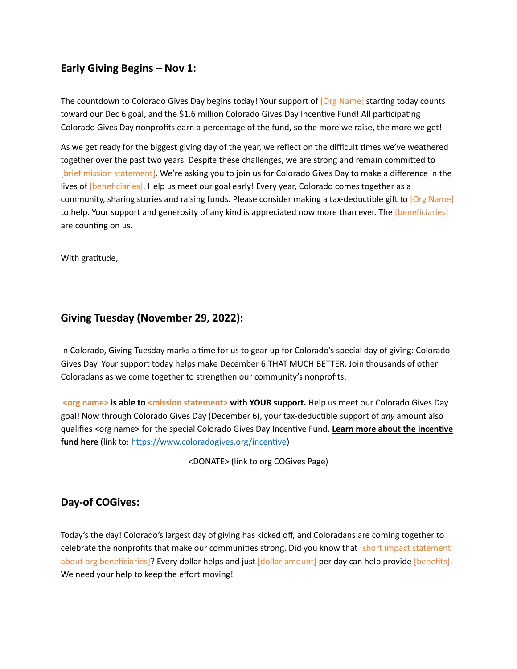# **Early Giving Begins – Nov 1:**

The countdown to Colorado Gives Day begins today! Your support of [Org Name] starting today counts toward our Dec 6 goal, and the \$1.6 million Colorado Gives Day Incentive Fund! All participating Colorado Gives Day nonprofits earn a percentage of the fund, so the more we raise, the more we get!

As we get ready for the biggest giving day of the year, we reflect on the difficult times we've weathered together over the past two years. Despite these challenges, we are strong and remain committed to [brief mission statement]. We're asking you to join us for Colorado Gives Day to make a difference in the lives of [beneficiaries]. Help us meet our goal early! Every year, Colorado comes together as a community, sharing stories and raising funds. Please consider making a tax-deductible gift to [Org Name] to help. Your support and generosity of any kind is appreciated now more than ever. The [beneficiaries] are counting on us.

With gratitude,

## **Giving Tuesday (November 29, 2022):**

In Colorado, Giving Tuesday marks a time for us to gear up for Colorado's special day of giving: Colorado Gives Day. Your support today helps make December 6 THAT MUCH BETTER. Join thousands of other Coloradans as we come together to strengthen our community's nonprofits.

**<org name> is able to <mission statement> with YOUR support.** Help us meet our Colorado Gives Day goal! Now through Colorado Gives Day (December 6), your tax-deductible support of *any* amount also qualifies <org name> for the special Colorado Gives Day Incentive Fund. **Learn more about the incentive**  fund here (link to: [https://www.coloradogives.org/incentive\)](https://www.coloradogives.org/incentive)

<DONATE> (link to org COGives Page)

### **Day-of COGives:**

Today's the day! Colorado's largest day of giving has kicked off, and Coloradans are coming together to celebrate the nonprofits that make our communities strong. Did you know that [short impact statement about org beneficiaries]? Every dollar helps and just [dollar amount] per day can help provide [benefits]. We need your help to keep the effort moving!